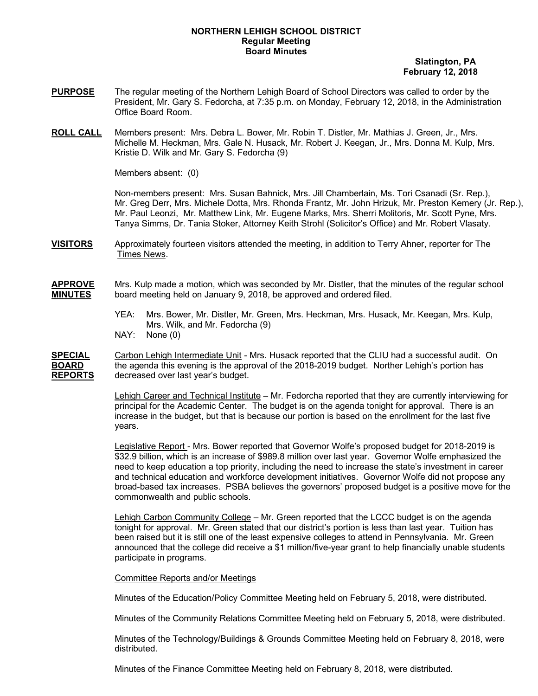## **NORTHERN LEHIGH SCHOOL DISTRICT Regular Meeting Board Minutes**

 **Slatington, PA February 12, 2018**

- **PURPOSE** The regular meeting of the Northern Lehigh Board of School Directors was called to order by the President, Mr. Gary S. Fedorcha, at 7:35 p.m. on Monday, February 12, 2018, in the Administration Office Board Room.
- **ROLL CALL** Members present: Mrs. Debra L. Bower, Mr. Robin T. Distler, Mr. Mathias J. Green, Jr., Mrs. Michelle M. Heckman, Mrs. Gale N. Husack, Mr. Robert J. Keegan, Jr., Mrs. Donna M. Kulp, Mrs. Kristie D. Wilk and Mr. Gary S. Fedorcha (9)

Members absent: (0)

Non-members present: Mrs. Susan Bahnick, Mrs. Jill Chamberlain, Ms. Tori Csanadi (Sr. Rep.), Mr. Greg Derr, Mrs. Michele Dotta, Mrs. Rhonda Frantz, Mr. John Hrizuk, Mr. Preston Kemery (Jr. Rep.), Mr. Paul Leonzi, Mr. Matthew Link, Mr. Eugene Marks, Mrs. Sherri Molitoris, Mr. Scott Pyne, Mrs. Tanya Simms, Dr. Tania Stoker, Attorney Keith Strohl (Solicitor's Office) and Mr. Robert Vlasaty.

**VISITORS** Approximately fourteen visitors attended the meeting, in addition to Terry Ahner, reporter for The Times News.

**APPROVE** Mrs. Kulp made a motion, which was seconded by Mr. Distler, that the minutes of the regular school **MINUTES** board meeting held on January 9, 2018, be approved and ordered filed.

- YEA: Mrs. Bower, Mr. Distler, Mr. Green, Mrs. Heckman, Mrs. Husack, Mr. Keegan, Mrs. Kulp, Mrs. Wilk, and Mr. Fedorcha (9)
- NAY: None (0)

**SPECIAL** Carbon Lehigh Intermediate Unit - Mrs. Husack reported that the CLIU had a successful audit. On **BOARD** the agenda this evening is the approval of the 2018-2019 budget. Norther Lehigh's portion has **REPORTS** decreased over last year's budget.

> Lehigh Career and Technical Institute – Mr. Fedorcha reported that they are currently interviewing for principal for the Academic Center. The budget is on the agenda tonight for approval. There is an increase in the budget, but that is because our portion is based on the enrollment for the last five years.

> Legislative Report - Mrs. Bower reported that Governor Wolfe's proposed budget for 2018-2019 is \$32.9 billion, which is an increase of \$989.8 million over last year. Governor Wolfe emphasized the need to keep education a top priority, including the need to increase the state's investment in career and technical education and workforce development initiatives. Governor Wolfe did not propose any broad-based tax increases. PSBA believes the governors' proposed budget is a positive move for the commonwealth and public schools.

Lehigh Carbon Community College – Mr. Green reported that the LCCC budget is on the agenda tonight for approval. Mr. Green stated that our district's portion is less than last year. Tuition has been raised but it is still one of the least expensive colleges to attend in Pennsylvania. Mr. Green announced that the college did receive a \$1 million/five-year grant to help financially unable students participate in programs.

Committee Reports and/or Meetings

Minutes of the Education/Policy Committee Meeting held on February 5, 2018, were distributed.

Minutes of the Community Relations Committee Meeting held on February 5, 2018, were distributed.

Minutes of the Technology/Buildings & Grounds Committee Meeting held on February 8, 2018, were distributed.

Minutes of the Finance Committee Meeting held on February 8, 2018, were distributed.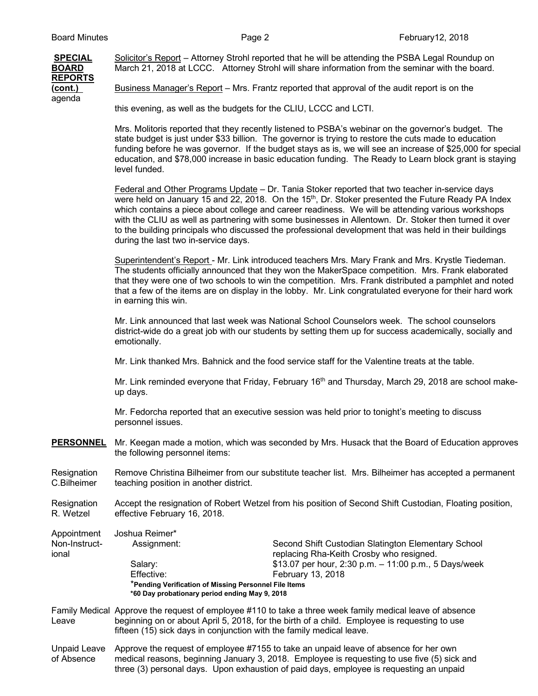**REPORTS** agenda

**SPECIAL** Solicitor's Report – Attorney Strohl reported that he will be attending the PSBA Legal Roundup on<br>**BOARD** March 21, 2018 at LCCC. Attorney Strohl will share information from the seminar with the board. March 21, 2018 at LCCC. Attorney Strohl will share information from the seminar with the board.

**(cont.)** Business Manager's Report – Mrs. Frantz reported that approval of the audit report is on the

this evening, as well as the budgets for the CLIU, LCCC and LCTI.

Mrs. Molitoris reported that they recently listened to PSBA's webinar on the governor's budget. The state budget is just under \$33 billion. The governor is trying to restore the cuts made to education funding before he was governor. If the budget stays as is, we will see an increase of \$25,000 for special education, and \$78,000 increase in basic education funding. The Ready to Learn block grant is staying level funded.

Federal and Other Programs Update – Dr. Tania Stoker reported that two teacher in-service days were held on January 15 and 22, 2018. On the 15<sup>th</sup>, Dr. Stoker presented the Future Ready PA Index which contains a piece about college and career readiness. We will be attending various workshops with the CLIU as well as partnering with some businesses in Allentown. Dr. Stoker then turned it over to the building principals who discussed the professional development that was held in their buildings during the last two in-service days.

Superintendent's Report - Mr. Link introduced teachers Mrs. Mary Frank and Mrs. Krystle Tiedeman. The students officially announced that they won the MakerSpace competition. Mrs. Frank elaborated that they were one of two schools to win the competition. Mrs. Frank distributed a pamphlet and noted that a few of the items are on display in the lobby. Mr. Link congratulated everyone for their hard work in earning this win.

Mr. Link announced that last week was National School Counselors week. The school counselors district-wide do a great job with our students by setting them up for success academically, socially and emotionally.

Mr. Link thanked Mrs. Bahnick and the food service staff for the Valentine treats at the table.

Mr. Link reminded everyone that Friday, February 16<sup>th</sup> and Thursday, March 29, 2018 are school makeup days.

Mr. Fedorcha reported that an executive session was held prior to tonight's meeting to discuss personnel issues.

**PERSONNEL** Mr. Keegan made a motion, which was seconded by Mrs. Husack that the Board of Education approves the following personnel items:

Resignation Remove Christina Bilheimer from our substitute teacher list. Mrs. Bilheimer has accepted a permanent C.Bilheimer teaching position in another district.

Resignation Accept the resignation of Robert Wetzel from his position of Second Shift Custodian, Floating position, R. Wetzel effective February 16, 2018.

Appointment Joshua Reimer\* Non-Instruct- Assignment: Second Shift Custodian Slatington Elementary School ional replacing Rha-Keith Crosby who resigned. Salary: **\$13.07 per hour, 2:30 p.m. – 11:00 p.m., 5 Days/week** Effective: February 13, 2018 \***Pending Verification of Missing Personnel File Items \*60 Day probationary period ending May 9, 2018**

Family Medical Approve the request of employee #110 to take a three week family medical leave of absence Leave beginning on or about April 5, 2018, for the birth of a child. Employee is requesting to use fifteen (15) sick days in conjunction with the family medical leave.

Unpaid Leave Approve the request of employee #7155 to take an unpaid leave of absence for her own of Absence medical reasons, beginning January 3, 2018. Employee is requesting to use five (5) sick and three (3) personal days. Upon exhaustion of paid days, employee is requesting an unpaid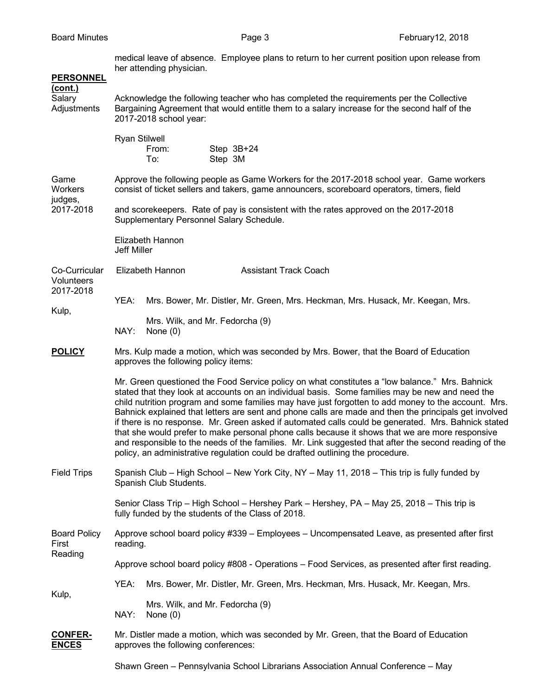| <b>PERSONNEL</b>                         |                                                                                                                                                                                                                                                                                                                                                                                                                                                                                                                                                                                                                                                                                                                                                                                                                        | her attending physician. |                                 |                                                                                 |  | medical leave of absence. Employee plans to return to her current position upon release from |  |
|------------------------------------------|------------------------------------------------------------------------------------------------------------------------------------------------------------------------------------------------------------------------------------------------------------------------------------------------------------------------------------------------------------------------------------------------------------------------------------------------------------------------------------------------------------------------------------------------------------------------------------------------------------------------------------------------------------------------------------------------------------------------------------------------------------------------------------------------------------------------|--------------------------|---------------------------------|---------------------------------------------------------------------------------|--|----------------------------------------------------------------------------------------------|--|
| <u>(cont.)</u><br>Salary<br>Adjustments  | Acknowledge the following teacher who has completed the requirements per the Collective<br>Bargaining Agreement that would entitle them to a salary increase for the second half of the<br>2017-2018 school year:                                                                                                                                                                                                                                                                                                                                                                                                                                                                                                                                                                                                      |                          |                                 |                                                                                 |  |                                                                                              |  |
|                                          | <b>Ryan Stilwell</b>                                                                                                                                                                                                                                                                                                                                                                                                                                                                                                                                                                                                                                                                                                                                                                                                   | From:<br>To:             | Step 3B+24<br>Step 3M           |                                                                                 |  |                                                                                              |  |
| Game<br>Workers<br>judges,<br>2017-2018  | Approve the following people as Game Workers for the 2017-2018 school year. Game workers<br>consist of ticket sellers and takers, game announcers, scoreboard operators, timers, field                                                                                                                                                                                                                                                                                                                                                                                                                                                                                                                                                                                                                                 |                          |                                 |                                                                                 |  |                                                                                              |  |
|                                          | and scorekeepers. Rate of pay is consistent with the rates approved on the 2017-2018<br>Supplementary Personnel Salary Schedule.                                                                                                                                                                                                                                                                                                                                                                                                                                                                                                                                                                                                                                                                                       |                          |                                 |                                                                                 |  |                                                                                              |  |
|                                          | Elizabeth Hannon<br>Jeff Miller                                                                                                                                                                                                                                                                                                                                                                                                                                                                                                                                                                                                                                                                                                                                                                                        |                          |                                 |                                                                                 |  |                                                                                              |  |
| Co-Curricular<br>Volunteers<br>2017-2018 |                                                                                                                                                                                                                                                                                                                                                                                                                                                                                                                                                                                                                                                                                                                                                                                                                        | Elizabeth Hannon         |                                 | <b>Assistant Track Coach</b>                                                    |  |                                                                                              |  |
| Kulp,                                    | YEA:                                                                                                                                                                                                                                                                                                                                                                                                                                                                                                                                                                                                                                                                                                                                                                                                                   |                          |                                 | Mrs. Bower, Mr. Distler, Mr. Green, Mrs. Heckman, Mrs. Husack, Mr. Keegan, Mrs. |  |                                                                                              |  |
|                                          | NAY:                                                                                                                                                                                                                                                                                                                                                                                                                                                                                                                                                                                                                                                                                                                                                                                                                   | None $(0)$               | Mrs. Wilk, and Mr. Fedorcha (9) |                                                                                 |  |                                                                                              |  |
| <b>POLICY</b>                            | Mrs. Kulp made a motion, which was seconded by Mrs. Bower, that the Board of Education<br>approves the following policy items:                                                                                                                                                                                                                                                                                                                                                                                                                                                                                                                                                                                                                                                                                         |                          |                                 |                                                                                 |  |                                                                                              |  |
|                                          | Mr. Green questioned the Food Service policy on what constitutes a "low balance." Mrs. Bahnick<br>stated that they look at accounts on an individual basis. Some families may be new and need the<br>child nutrition program and some families may have just forgotten to add money to the account. Mrs.<br>Bahnick explained that letters are sent and phone calls are made and then the principals get involved<br>if there is no response. Mr. Green asked if automated calls could be generated. Mrs. Bahnick stated<br>that she would prefer to make personal phone calls because it shows that we are more responsive<br>and responsible to the needs of the families. Mr. Link suggested that after the second reading of the<br>policy, an administrative regulation could be drafted outlining the procedure. |                          |                                 |                                                                                 |  |                                                                                              |  |
| <b>Field Trips</b>                       | Spanish Club – High School – New York City, NY – May 11, 2018 – This trip is fully funded by<br>Spanish Club Students.                                                                                                                                                                                                                                                                                                                                                                                                                                                                                                                                                                                                                                                                                                 |                          |                                 |                                                                                 |  |                                                                                              |  |
|                                          | Senior Class Trip - High School - Hershey Park - Hershey, PA - May 25, 2018 - This trip is<br>fully funded by the students of the Class of 2018.                                                                                                                                                                                                                                                                                                                                                                                                                                                                                                                                                                                                                                                                       |                          |                                 |                                                                                 |  |                                                                                              |  |
| <b>Board Policy</b><br>First<br>Reading  | Approve school board policy #339 - Employees - Uncompensated Leave, as presented after first<br>reading.                                                                                                                                                                                                                                                                                                                                                                                                                                                                                                                                                                                                                                                                                                               |                          |                                 |                                                                                 |  |                                                                                              |  |
|                                          | Approve school board policy #808 - Operations - Food Services, as presented after first reading.                                                                                                                                                                                                                                                                                                                                                                                                                                                                                                                                                                                                                                                                                                                       |                          |                                 |                                                                                 |  |                                                                                              |  |
|                                          | YEA:                                                                                                                                                                                                                                                                                                                                                                                                                                                                                                                                                                                                                                                                                                                                                                                                                   |                          |                                 | Mrs. Bower, Mr. Distler, Mr. Green, Mrs. Heckman, Mrs. Husack, Mr. Keegan, Mrs. |  |                                                                                              |  |
| Kulp,                                    | NAY:                                                                                                                                                                                                                                                                                                                                                                                                                                                                                                                                                                                                                                                                                                                                                                                                                   | None $(0)$               | Mrs. Wilk, and Mr. Fedorcha (9) |                                                                                 |  |                                                                                              |  |
| <b>CONFER-</b><br><b>ENCES</b>           | Mr. Distler made a motion, which was seconded by Mr. Green, that the Board of Education<br>approves the following conferences:                                                                                                                                                                                                                                                                                                                                                                                                                                                                                                                                                                                                                                                                                         |                          |                                 |                                                                                 |  |                                                                                              |  |

Shawn Green – Pennsylvania School Librarians Association Annual Conference – May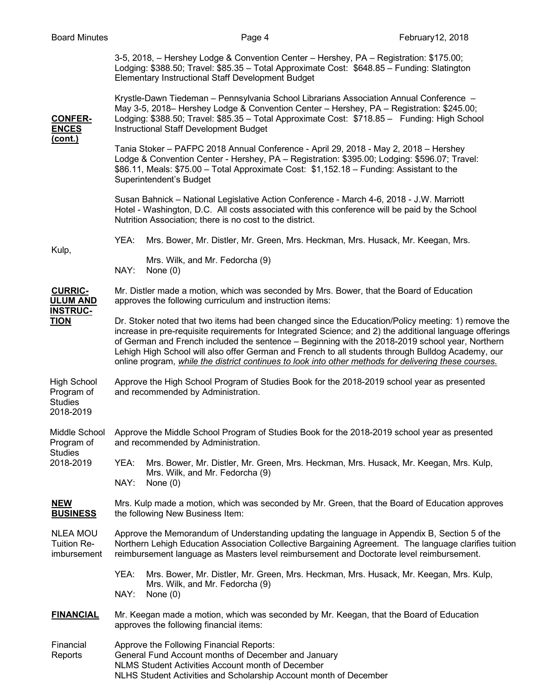|  | <b>Board Minutes</b>                                            | Page 4                                                                                                                                                                                                                                                                                                                                                                                                                                                                                                                         | February 12, 2018 |
|--|-----------------------------------------------------------------|--------------------------------------------------------------------------------------------------------------------------------------------------------------------------------------------------------------------------------------------------------------------------------------------------------------------------------------------------------------------------------------------------------------------------------------------------------------------------------------------------------------------------------|-------------------|
|  |                                                                 | 3-5, 2018, - Hershey Lodge & Convention Center - Hershey, PA - Registration: \$175.00;<br>Lodging: \$388.50; Travel: \$85.35 - Total Approximate Cost: \$648.85 - Funding: Slatington<br>Elementary Instructional Staff Development Budget                                                                                                                                                                                                                                                                                     |                   |
|  | <b>CONFER-</b><br><b>ENCES</b>                                  | Krystle-Dawn Tiedeman - Pennsylvania School Librarians Association Annual Conference -<br>May 3-5, 2018– Hershey Lodge & Convention Center - Hershey, PA - Registration: \$245.00;<br>Lodging: \$388.50; Travel: \$85.35 - Total Approximate Cost: \$718.85 - Funding: High School<br>Instructional Staff Development Budget                                                                                                                                                                                                   |                   |
|  | <u>(cont.)</u>                                                  | Tania Stoker – PAFPC 2018 Annual Conference - April 29, 2018 - May 2, 2018 – Hershey<br>Lodge & Convention Center - Hershey, PA - Registration: \$395.00; Lodging: \$596.07; Travel:<br>\$86.11, Meals: \$75.00 - Total Approximate Cost: \$1,152.18 - Funding: Assistant to the<br>Superintendent's Budget                                                                                                                                                                                                                    |                   |
|  |                                                                 | Susan Bahnick - National Legislative Action Conference - March 4-6, 2018 - J.W. Marriott<br>Hotel - Washington, D.C. All costs associated with this conference will be paid by the School<br>Nutrition Association; there is no cost to the district.                                                                                                                                                                                                                                                                          |                   |
|  |                                                                 | YEA:<br>Mrs. Bower, Mr. Distler, Mr. Green, Mrs. Heckman, Mrs. Husack, Mr. Keegan, Mrs.                                                                                                                                                                                                                                                                                                                                                                                                                                        |                   |
|  | Kulp,                                                           | Mrs. Wilk, and Mr. Fedorcha (9)<br>NAY:<br>None $(0)$                                                                                                                                                                                                                                                                                                                                                                                                                                                                          |                   |
|  | <b>CURRIC-</b><br><b>ULUM AND</b>                               | Mr. Distler made a motion, which was seconded by Mrs. Bower, that the Board of Education<br>approves the following curriculum and instruction items:                                                                                                                                                                                                                                                                                                                                                                           |                   |
|  | <b>INSTRUC-</b><br><b>TION</b>                                  | Dr. Stoker noted that two items had been changed since the Education/Policy meeting: 1) remove the<br>increase in pre-requisite requirements for Integrated Science; and 2) the additional language offerings<br>of German and French included the sentence - Beginning with the 2018-2019 school year, Northern<br>Lehigh High School will also offer German and French to all students through Bulldog Academy, our<br>online program, while the district continues to look into other methods for delivering these courses. |                   |
|  | <b>High School</b><br>Program of<br><b>Studies</b><br>2018-2019 | Approve the High School Program of Studies Book for the 2018-2019 school year as presented<br>and recommended by Administration.                                                                                                                                                                                                                                                                                                                                                                                               |                   |
|  | Middle School<br>Program of<br><b>Studies</b><br>2018-2019      | Approve the Middle School Program of Studies Book for the 2018-2019 school year as presented<br>and recommended by Administration.                                                                                                                                                                                                                                                                                                                                                                                             |                   |
|  |                                                                 | YEA:<br>Mrs. Bower, Mr. Distler, Mr. Green, Mrs. Heckman, Mrs. Husack, Mr. Keegan, Mrs. Kulp,<br>Mrs. Wilk, and Mr. Fedorcha (9)<br>NAY:<br>None $(0)$                                                                                                                                                                                                                                                                                                                                                                         |                   |
|  | <b>NEW</b><br><b>BUSINESS</b>                                   | Mrs. Kulp made a motion, which was seconded by Mr. Green, that the Board of Education approves<br>the following New Business Item:                                                                                                                                                                                                                                                                                                                                                                                             |                   |
|  | <b>NLEA MOU</b><br>Tuition Re-<br>imbursement                   | Approve the Memorandum of Understanding updating the language in Appendix B, Section 5 of the<br>Northern Lehigh Education Association Collective Bargaining Agreement. The language clarifies tuition<br>reimbursement language as Masters level reimbursement and Doctorate level reimbursement.                                                                                                                                                                                                                             |                   |
|  |                                                                 | YEA:<br>Mrs. Bower, Mr. Distler, Mr. Green, Mrs. Heckman, Mrs. Husack, Mr. Keegan, Mrs. Kulp,<br>Mrs. Wilk, and Mr. Fedorcha (9)<br>NAY:<br>None $(0)$                                                                                                                                                                                                                                                                                                                                                                         |                   |
|  | <b>FINANCIAL</b>                                                | Mr. Keegan made a motion, which was seconded by Mr. Keegan, that the Board of Education<br>approves the following financial items:                                                                                                                                                                                                                                                                                                                                                                                             |                   |
|  | Financial<br>Reports                                            | Approve the Following Financial Reports:<br>General Fund Account months of December and January<br>NLMS Student Activities Account month of December<br>NLHS Student Activities and Scholarship Account month of December                                                                                                                                                                                                                                                                                                      |                   |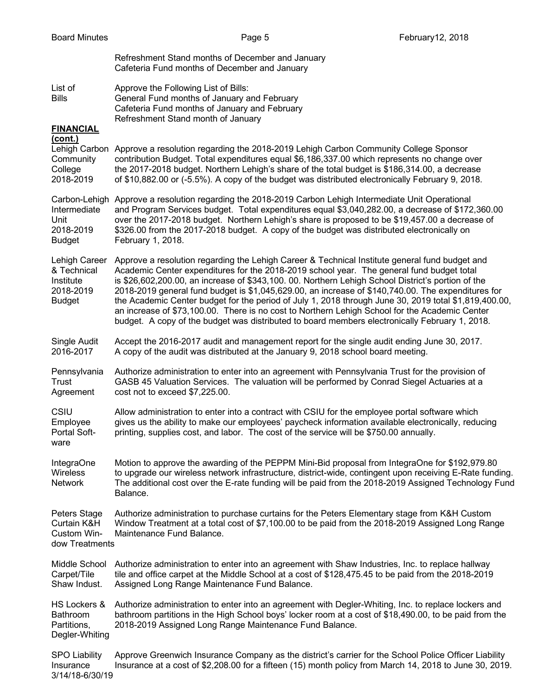| <b>Board Minutes</b>                                                    | Page 5                                                                                                                                                                                                                                                                                                                                                                                                                                                                                                                                                                                                                                                                                                               | February 12, 2018 |
|-------------------------------------------------------------------------|----------------------------------------------------------------------------------------------------------------------------------------------------------------------------------------------------------------------------------------------------------------------------------------------------------------------------------------------------------------------------------------------------------------------------------------------------------------------------------------------------------------------------------------------------------------------------------------------------------------------------------------------------------------------------------------------------------------------|-------------------|
|                                                                         | Refreshment Stand months of December and January<br>Cafeteria Fund months of December and January                                                                                                                                                                                                                                                                                                                                                                                                                                                                                                                                                                                                                    |                   |
| List of<br><b>Bills</b>                                                 | Approve the Following List of Bills:<br>General Fund months of January and February<br>Cafeteria Fund months of January and February<br>Refreshment Stand month of January                                                                                                                                                                                                                                                                                                                                                                                                                                                                                                                                           |                   |
| <b>FINANCIAL</b>                                                        |                                                                                                                                                                                                                                                                                                                                                                                                                                                                                                                                                                                                                                                                                                                      |                   |
| (cont.)<br>Community<br>College<br>2018-2019                            | Lehigh Carbon Approve a resolution regarding the 2018-2019 Lehigh Carbon Community College Sponsor<br>contribution Budget. Total expenditures equal \$6,186,337.00 which represents no change over<br>the 2017-2018 budget. Northern Lehigh's share of the total budget is \$186,314.00, a decrease<br>of \$10,882.00 or (-5.5%). A copy of the budget was distributed electronically February 9, 2018.                                                                                                                                                                                                                                                                                                              |                   |
| Intermediate<br>Unit<br>2018-2019<br><b>Budget</b>                      | Carbon-Lehigh Approve a resolution regarding the 2018-2019 Carbon Lehigh Intermediate Unit Operational<br>and Program Services budget. Total expenditures equal \$3,040,282.00, a decrease of \$172,360.00<br>over the 2017-2018 budget. Northern Lehigh's share is proposed to be \$19,457.00 a decrease of<br>\$326.00 from the 2017-2018 budget. A copy of the budget was distributed electronically on<br>February 1, 2018.                                                                                                                                                                                                                                                                                      |                   |
| Lehigh Career<br>& Technical<br>Institute<br>2018-2019<br><b>Budget</b> | Approve a resolution regarding the Lehigh Career & Technical Institute general fund budget and<br>Academic Center expenditures for the 2018-2019 school year. The general fund budget total<br>is \$26,602,200.00, an increase of \$343,100. 00. Northern Lehigh School District's portion of the<br>2018-2019 general fund budget is \$1,045,629.00, an increase of \$140,740.00. The expenditures for<br>the Academic Center budget for the period of July 1, 2018 through June 30, 2019 total \$1,819,400.00,<br>an increase of \$73,100.00. There is no cost to Northern Lehigh School for the Academic Center<br>budget. A copy of the budget was distributed to board members electronically February 1, 2018. |                   |
| Single Audit<br>2016-2017                                               | Accept the 2016-2017 audit and management report for the single audit ending June 30, 2017.<br>A copy of the audit was distributed at the January 9, 2018 school board meeting.                                                                                                                                                                                                                                                                                                                                                                                                                                                                                                                                      |                   |
| Pennsylvania<br>Trust<br>Agreement                                      | Authorize administration to enter into an agreement with Pennsylvania Trust for the provision of<br>GASB 45 Valuation Services. The valuation will be performed by Conrad Siegel Actuaries at a<br>cost not to exceed \$7,225.00.                                                                                                                                                                                                                                                                                                                                                                                                                                                                                    |                   |
| CSIU<br>Employee<br>Portal Soft-<br>ware                                | Allow administration to enter into a contract with CSIU for the employee portal software which<br>gives us the ability to make our employees' paycheck information available electronically, reducing<br>printing, supplies cost, and labor. The cost of the service will be \$750.00 annually.                                                                                                                                                                                                                                                                                                                                                                                                                      |                   |
| <b>IntegraOne</b><br><b>Wireless</b><br><b>Network</b>                  | Motion to approve the awarding of the PEPPM Mini-Bid proposal from IntegraOne for \$192,979.80<br>to upgrade our wireless network infrastructure, district-wide, contingent upon receiving E-Rate funding.<br>The additional cost over the E-rate funding will be paid from the 2018-2019 Assigned Technology Fund<br>Balance.                                                                                                                                                                                                                                                                                                                                                                                       |                   |
| Peters Stage<br>Curtain K&H<br>Custom Win-<br>dow Treatments            | Authorize administration to purchase curtains for the Peters Elementary stage from K&H Custom<br>Window Treatment at a total cost of \$7,100.00 to be paid from the 2018-2019 Assigned Long Range<br>Maintenance Fund Balance.                                                                                                                                                                                                                                                                                                                                                                                                                                                                                       |                   |
| Middle School<br>Carpet/Tile<br>Shaw Indust.                            | Authorize administration to enter into an agreement with Shaw Industries, Inc. to replace hallway<br>tile and office carpet at the Middle School at a cost of \$128,475.45 to be paid from the 2018-2019<br>Assigned Long Range Maintenance Fund Balance.                                                                                                                                                                                                                                                                                                                                                                                                                                                            |                   |
| HS Lockers &<br><b>Bathroom</b><br>Partitions,<br>Degler-Whiting        | Authorize administration to enter into an agreement with Degler-Whiting, Inc. to replace lockers and<br>bathroom partitions in the High School boys' locker room at a cost of \$18,490.00, to be paid from the<br>2018-2019 Assigned Long Range Maintenance Fund Balance.                                                                                                                                                                                                                                                                                                                                                                                                                                            |                   |
| <b>SPO Liability</b><br>Insurance<br>3/14/18-6/30/19                    | Approve Greenwich Insurance Company as the district's carrier for the School Police Officer Liability<br>Insurance at a cost of \$2,208.00 for a fifteen (15) month policy from March 14, 2018 to June 30, 2019.                                                                                                                                                                                                                                                                                                                                                                                                                                                                                                     |                   |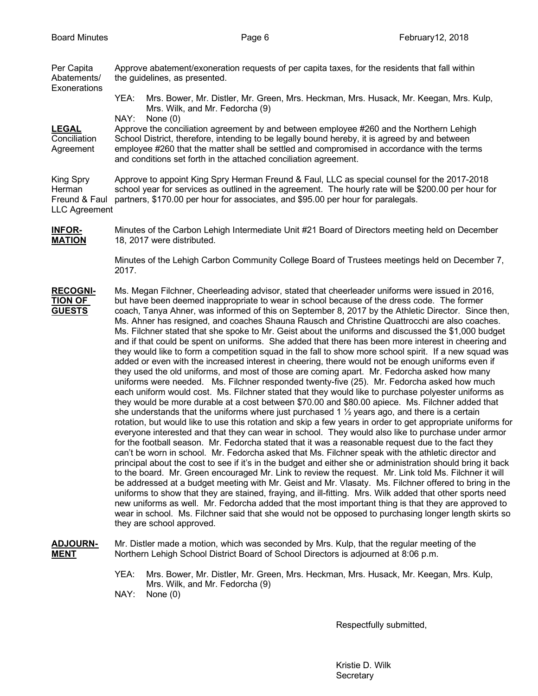| Per Capita<br>Abatements/<br>Exonerations                    | Approve abatement/exoneration requests of per capita taxes, for the residents that fall within<br>the guidelines, as presented.                                                                                                                                                                                                                             |  |  |  |  |
|--------------------------------------------------------------|-------------------------------------------------------------------------------------------------------------------------------------------------------------------------------------------------------------------------------------------------------------------------------------------------------------------------------------------------------------|--|--|--|--|
|                                                              | Mrs. Bower, Mr. Distler, Mr. Green, Mrs. Heckman, Mrs. Husack, Mr. Keegan, Mrs. Kulp,<br>YEA:<br>Mrs. Wilk, and Mr. Fedorcha (9)<br>NAY: .<br>None $(0)$                                                                                                                                                                                                    |  |  |  |  |
| <b>LEGAL</b><br>Conciliation<br>Agreement                    | Approve the conciliation agreement by and between employee #260 and the Northern Lehigh<br>School District, therefore, intending to be legally bound hereby, it is agreed by and between<br>employee #260 that the matter shall be settled and compromised in accordance with the terms<br>and conditions set forth in the attached conciliation agreement. |  |  |  |  |
| King Spry<br>Herman<br>Freund & Faul<br><b>LLC Agreement</b> | Approve to appoint King Spry Herman Freund & Faul, LLC as special counsel for the 2017-2018<br>school year for services as outlined in the agreement. The hourly rate will be \$200.00 per hour for<br>partners, \$170.00 per hour for associates, and \$95.00 per hour for paralegals.                                                                     |  |  |  |  |
| <b>INFOR-</b><br><b>MATION</b>                               | Minutes of the Carbon Lehigh Intermediate Unit #21 Board of Directors meeting held on December<br>18, 2017 were distributed.                                                                                                                                                                                                                                |  |  |  |  |

Minutes of the Lehigh Carbon Community College Board of Trustees meetings held on December 7, 2017.

## **RECOGNI-** Ms. Megan Filchner, Cheerleading advisor, stated that cheerleader uniforms were issued in 2016, **TION OF** but have been deemed inappropriate to wear in school because of the dress code. The former **GUESTS** coach, Tanya Ahner, was informed of this on September 8, 2017 by the Athletic Director. Since then, Ms. Ahner has resigned, and coaches Shauna Rausch and Christine Quattrocchi are also coaches. Ms. Filchner stated that she spoke to Mr. Geist about the uniforms and discussed the \$1,000 budget and if that could be spent on uniforms. She added that there has been more interest in cheering and they would like to form a competition squad in the fall to show more school spirit. If a new squad was added or even with the increased interest in cheering, there would not be enough uniforms even if they used the old uniforms, and most of those are coming apart. Mr. Fedorcha asked how many uniforms were needed. Ms. Filchner responded twenty-five (25). Mr. Fedorcha asked how much each uniform would cost. Ms. Filchner stated that they would like to purchase polyester uniforms as they would be more durable at a cost between \$70.00 and \$80.00 apiece. Ms. Filchner added that she understands that the uniforms where just purchased 1  $\frac{1}{2}$  years ago, and there is a certain rotation, but would like to use this rotation and skip a few years in order to get appropriate uniforms for everyone interested and that they can wear in school. They would also like to purchase under armor for the football season. Mr. Fedorcha stated that it was a reasonable request due to the fact they can't be worn in school. Mr. Fedorcha asked that Ms. Filchner speak with the athletic director and principal about the cost to see if it's in the budget and either she or administration should bring it back to the board. Mr. Green encouraged Mr. Link to review the request. Mr. Link told Ms. Filchner it will be addressed at a budget meeting with Mr. Geist and Mr. Vlasaty. Ms. Filchner offered to bring in the uniforms to show that they are stained, fraying, and ill-fitting. Mrs. Wilk added that other sports need new uniforms as well. Mr. Fedorcha added that the most important thing is that they are approved to wear in school. Ms. Filchner said that she would not be opposed to purchasing longer length skirts so they are school approved.

- **ADJOURN-** Mr. Distler made a motion, which was seconded by Mrs. Kulp, that the regular meeting of the **MENT** Northern Lehigh School District Board of School Directors is adjourned at 8:06 p.m.
	- YEA: Mrs. Bower, Mr. Distler, Mr. Green, Mrs. Heckman, Mrs. Husack, Mr. Keegan, Mrs. Kulp, Mrs. Wilk, and Mr. Fedorcha (9)
	- NAY: None (0)

Respectfully submitted,